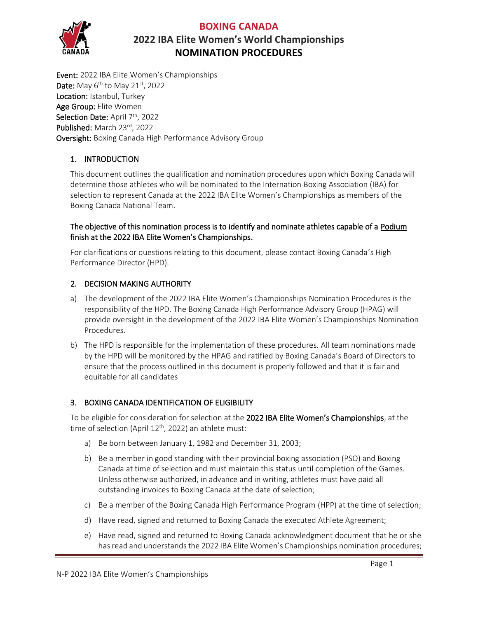#### **BOXING CANADA**



# **2022 IBA Elite Women's World Championships NOMINATION PROCEDURES**

Event: 2022 IBA Elite Women's Championships Date: May  $6<sup>th</sup>$  to May 21st, 2022 Location: Istanbul, Turkey Age Group: Elite Women Selection Date: April 7<sup>th</sup>, 2022 Published: March 23rd, 2022 Oversight: Boxing Canada High Performance Advisory Group

## 1. INTRODUCTION

This document outlines the qualification and nomination procedures upon which Boxing Canada will determine those athletes who will be nominated to the Internation Boxing Association (IBA) for selection to represent Canada at the 2022 IBA Elite Women's Championships as members of the Boxing Canada National Team.

#### The objective of this nomination process is to identify and nominate athletes capable of a Podium finish at the 2022 IBA Elite Women's Championships.

For clarifications or questions relating to this document, please contact Boxing Canada's High Performance Director (HPD).

## 2. DECISION MAKING AUTHORITY

- a) The development of the 2022 IBA Elite Women's Championships Nomination Procedures is the responsibility of the HPD. The Boxing Canada High Performance Advisory Group (HPAG) will provide oversight in the development of the 2022 IBA Elite Women's Championships Nomination Procedures.
- b) The HPD is responsible for the implementation of these procedures. All team nominations made by the HPD will be monitored by the HPAG and ratified by Boxing Canada's Board of Directors to ensure that the process outlined in this document is properly followed and that it is fair and equitable for all candidates

## 3. BOXING CANADA IDENTIFICATION OF ELIGIBILITY

To be eligible for consideration for selection at the 2022 IBA Elite Women's Championships, at the time of selection (April 12<sup>th</sup>, 2022) an athlete must:

- a) Be born between January 1, 1982 and December 31, 2003;
- b) Be a member in good standing with their provincial boxing association (PSO) and Boxing Canada at time of selection and must maintain this status until completion of the Games. Unless otherwise authorized, in advance and in writing, athletes must have paid all outstanding invoices to Boxing Canada at the date of selection;
- c) Be a member of the Boxing Canada High Performance Program (HPP) at the time of selection;
- d) Have read, signed and returned to Boxing Canada the executed Athlete Agreement;
- e) Have read, signed and returned to Boxing Canada acknowledgment document that he or she has read and understands the 2022 IBA Elite Women's Championships nomination procedures;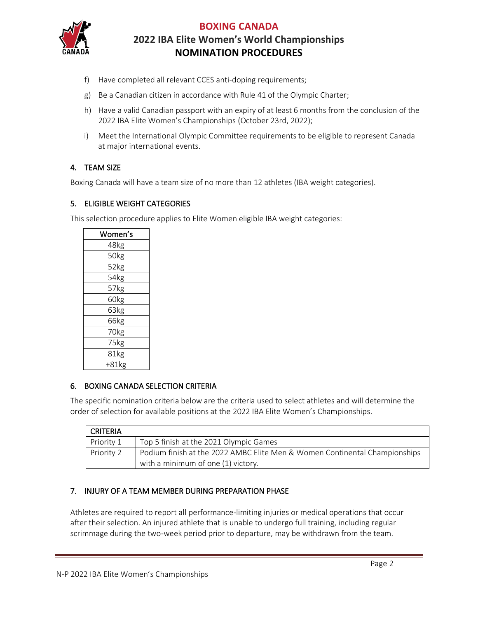

## **BOXING CANADA 2022 IBA Elite Women's World Championships NOMINATION PROCEDURES**

- f) Have completed all relevant CCES anti-doping requirements;
- g) Be a Canadian citizen in accordance with Rule 41 of the Olympic Charter;
- h) Have a valid Canadian passport with an expiry of at least 6 months from the conclusion of the 2022 IBA Elite Women's Championships (October 23rd, 2022);
- i) Meet the International Olympic Committee requirements to be eligible to represent Canada at major international events.

#### 4. TEAM SIZE

Boxing Canada will have a team size of no more than 12 athletes (IBA weight categories).

#### 5. ELIGIBLE WEIGHT CATEGORIES

This selection procedure applies to Elite Women eligible IBA weight categories:

| Women's |  |  |
|---------|--|--|
| 48kg    |  |  |
| 50kg    |  |  |
| 52kg    |  |  |
| 54kg    |  |  |
| 57kg    |  |  |
| 60kg    |  |  |
| 63kg    |  |  |
| 66kg    |  |  |
| 70kg    |  |  |
| 75kg    |  |  |
| 81kg    |  |  |
| +81kg   |  |  |

#### 6. BOXING CANADA SELECTION CRITERIA

The specific nomination criteria below are the criteria used to select athletes and will determine the order of selection for available positions at the 2022 IBA Elite Women's Championships.

| <b>CRITERIA</b> |                                                                                                                  |  |
|-----------------|------------------------------------------------------------------------------------------------------------------|--|
| Priority 1      | Top 5 finish at the 2021 Olympic Games                                                                           |  |
| Priority 2      | Podium finish at the 2022 AMBC Elite Men & Women Continental Championships<br>with a minimum of one (1) victory. |  |

## 7. INJURY OF A TEAM MEMBER DURING PREPARATION PHASE

Athletes are required to report all performance-limiting injuries or medical operations that occur after their selection. An injured athlete that is unable to undergo full training, including regular scrimmage during the two-week period prior to departure, may be withdrawn from the team.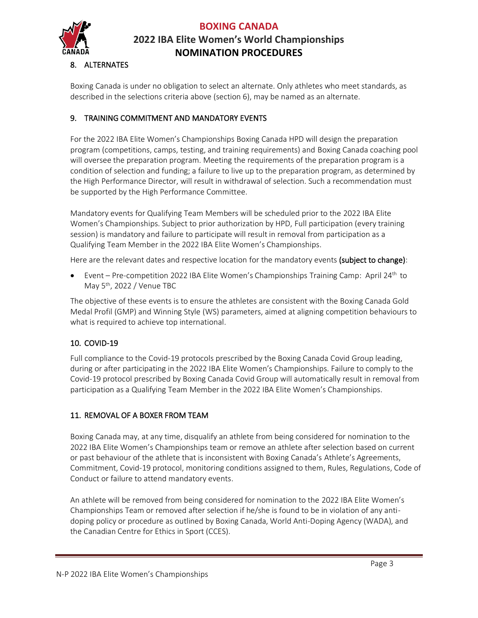

# **BOXING CANADA 2022 IBA Elite Women's World Championships NOMINATION PROCEDURES**

## 8. ALTERNATES

Boxing Canada is under no obligation to select an alternate. Only athletes who meet standards, as described in the selections criteria above (section 6), may be named as an alternate.

## 9. TRAINING COMMITMENT AND MANDATORY EVENTS

For the 2022 IBA Elite Women's Championships Boxing Canada HPD will design the preparation program (competitions, camps, testing, and training requirements) and Boxing Canada coaching pool will oversee the preparation program. Meeting the requirements of the preparation program is a condition of selection and funding; a failure to live up to the preparation program, as determined by the High Performance Director, will result in withdrawal of selection. Such a recommendation must be supported by the High Performance Committee.

Mandatory events for Qualifying Team Members will be scheduled prior to the 2022 IBA Elite Women's Championships. Subject to prior authorization by HPD, Full participation (every training session) is mandatory and failure to participate will result in removal from participation as a Qualifying Team Member in the 2022 IBA Elite Women's Championships.

Here are the relevant dates and respective location for the mandatory events (subject to change):

• Event – Pre-competition 2022 IBA Elite Women's Championships Training Camp: April 24<sup>th</sup> to May 5th, 2022 / Venue TBC

The objective of these events is to ensure the athletes are consistent with the Boxing Canada Gold Medal Profil (GMP) and Winning Style (WS) parameters, aimed at aligning competition behaviours to what is required to achieve top international.

## 10. COVID-19

Full compliance to the Covid-19 protocols prescribed by the Boxing Canada Covid Group leading, during or after participating in the 2022 IBA Elite Women's Championships. Failure to comply to the Covid-19 protocol prescribed by Boxing Canada Covid Group will automatically result in removal from participation as a Qualifying Team Member in the 2022 IBA Elite Women's Championships.

## 11. REMOVAL OF A BOXER FROM TEAM

Boxing Canada may, at any time, disqualify an athlete from being considered for nomination to the 2022 IBA Elite Women's Championships team or remove an athlete after selection based on current or past behaviour of the athlete that is inconsistent with Boxing Canada's Athlete's Agreements, Commitment, Covid-19 protocol, monitoring conditions assigned to them, Rules, Regulations, Code of Conduct or failure to attend mandatory events.

An athlete will be removed from being considered for nomination to the 2022 IBA Elite Women's Championships Team or removed after selection if he/she is found to be in violation of any antidoping policy or procedure as outlined by Boxing Canada, World Anti-Doping Agency (WADA), and the Canadian Centre for Ethics in Sport (CCES).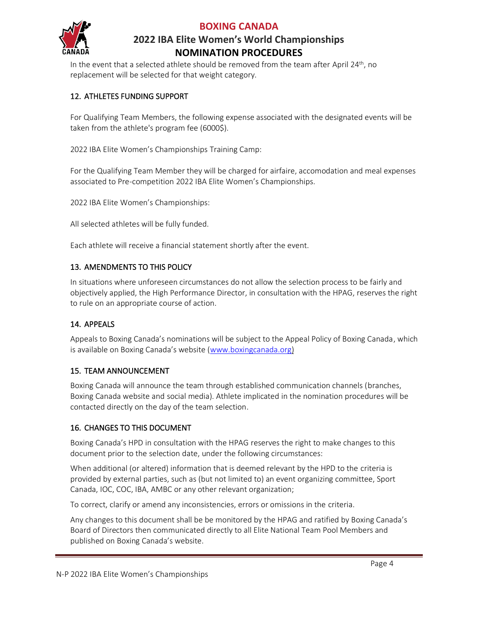

#### **BOXING CANADA**

# **2022 IBA Elite Women's World Championships NOMINATION PROCEDURES**

In the event that a selected athlete should be removed from the team after April 24<sup>th</sup>, no replacement will be selected for that weight category.

## 12. ATHLETES FUNDING SUPPORT

For Qualifying Team Members, the following expense associated with the designated events will be taken from the athlete's program fee (6000\$).

2022 IBA Elite Women's Championships Training Camp:

For the Qualifying Team Member they will be charged for airfaire, accomodation and meal expenses associated to Pre-competition 2022 IBA Elite Women's Championships.

2022 IBA Elite Women's Championships:

All selected athletes will be fully funded.

Each athlete will receive a financial statement shortly after the event.

## 13. AMENDMENTS TO THIS POLICY

In situations where unforeseen circumstances do not allow the selection process to be fairly and objectively applied, the High Performance Director, in consultation with the HPAG, reserves the right to rule on an appropriate course of action.

## 14. APPEALS

Appeals to Boxing Canada's nominations will be subject to the Appeal Policy of Boxing Canada, which is available on Boxing Canada's website ([www.boxingcanada.org\)](http://www.boxingcanada.org/)

## 15. TEAM ANNOUNCEMENT

Boxing Canada will announce the team through established communication channels (branches, Boxing Canada website and social media). Athlete implicated in the nomination procedures will be contacted directly on the day of the team selection.

## 16. CHANGES TO THIS DOCUMENT

Boxing Canada's HPD in consultation with the HPAG reserves the right to make changes to this document prior to the selection date, under the following circumstances:

When additional (or altered) information that is deemed relevant by the HPD to the criteria is provided by external parties, such as (but not limited to) an event organizing committee, Sport Canada, IOC, COC, IBA, AMBC or any other relevant organization;

To correct, clarify or amend any inconsistencies, errors or omissions in the criteria.

Any changes to this document shall be be monitored by the HPAG and ratified by Boxing Canada's Board of Directors then communicated directly to all Elite National Team Pool Members and published on Boxing Canada's website.